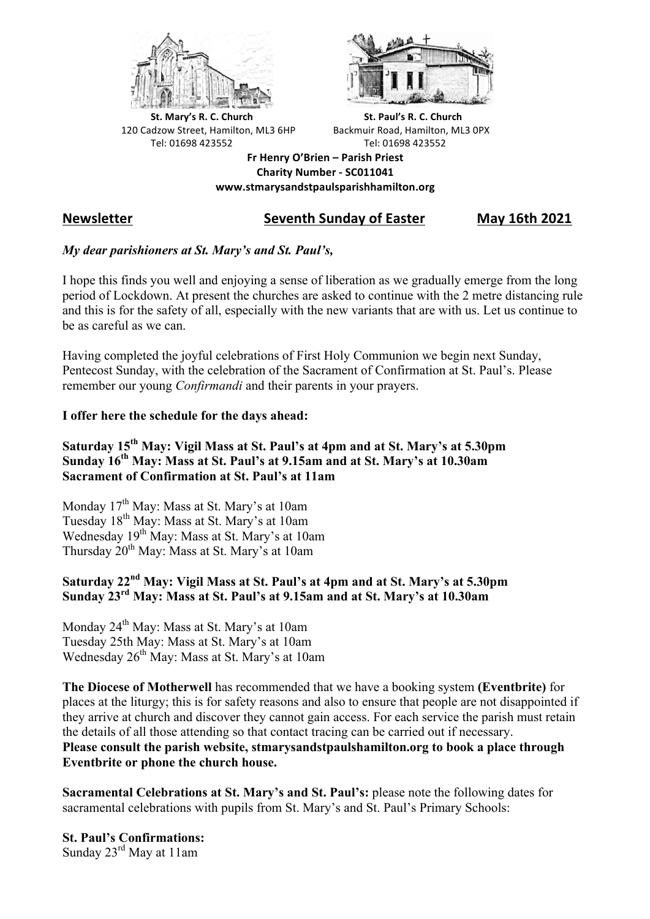



**St.** Mary's R. C. Church St. Paul's R. C. Church 120 Cadzow Street, Hamilton, ML3 6HP Backmuir Road, Hamilton, ML3 0PX Tel: 01698 423552 Tel: 01698 423552

**Fr Henry O'Brien – Parish Priest Charity Number - SC011041 www.stmarysandstpaulsparishhamilton.org**

# **Newsletter Seventh Sunday of Easter May 16th 2021**

# *My dear parishioners at St. Mary's and St. Paul's,*

I hope this finds you well and enjoying a sense of liberation as we gradually emerge from the long period of Lockdown. At present the churches are asked to continue with the 2 metre distancing rule and this is for the safety of all, especially with the new variants that are with us. Let us continue to be as careful as we can.

Having completed the joyful celebrations of First Holy Communion we begin next Sunday, Pentecost Sunday, with the celebration of the Sacrament of Confirmation at St. Paul's. Please remember our young *Confirmandi* and their parents in your prayers.

### **I offer here the schedule for the days ahead:**

# **Saturday 15th May: Vigil Mass at St. Paul's at 4pm and at St. Mary's at 5.30pm Sunday 16th May: Mass at St. Paul's at 9.15am and at St. Mary's at 10.30am Sacrament of Confirmation at St. Paul's at 11am**

Monday 17<sup>th</sup> May: Mass at St. Mary's at 10am Tuesday 18th May: Mass at St. Mary's at 10am Wednesday 19th May: Mass at St. Mary's at 10am Thursday 20<sup>th</sup> May: Mass at St. Mary's at 10am

# **Saturday 22nd May: Vigil Mass at St. Paul's at 4pm and at St. Mary's at 5.30pm Sunday 23rd May: Mass at St. Paul's at 9.15am and at St. Mary's at 10.30am**

Monday  $24<sup>th</sup>$  May: Mass at St. Mary's at 10am Tuesday 25th May: Mass at St. Mary's at 10am Wednesday 26<sup>th</sup> May: Mass at St. Mary's at 10am

**The Diocese of Motherwell** has recommended that we have a booking system **(Eventbrite)** for places at the liturgy; this is for safety reasons and also to ensure that people are not disappointed if they arrive at church and discover they cannot gain access. For each service the parish must retain the details of all those attending so that contact tracing can be carried out if necessary. **Please consult the parish website, stmarysandstpaulshamilton.org to book a place through Eventbrite or phone the church house.**

**Sacramental Celebrations at St. Mary's and St. Paul's:** please note the following dates for sacramental celebrations with pupils from St. Mary's and St. Paul's Primary Schools:

**St. Paul's Confirmations:** Sunday 23rd May at 11am